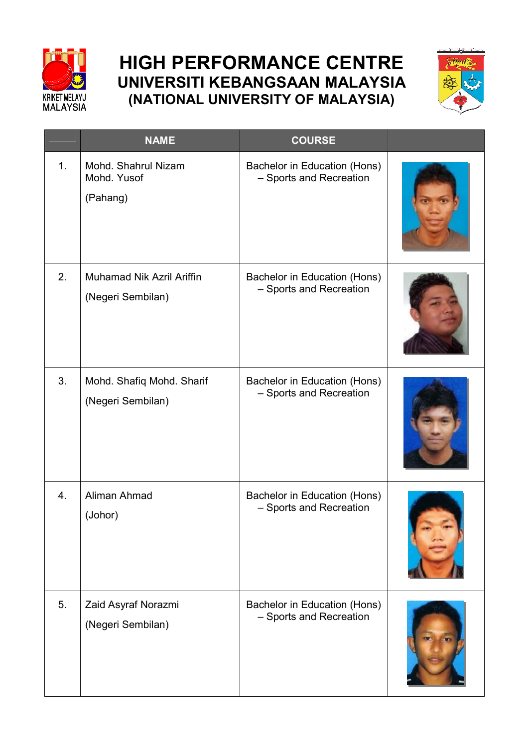

## **HIGH PERFORMANCE CENTRE UNIVERSITI KEBANGSAAN MALAYSIA (NATIONAL UNIVERSITY OF MALAYSIA)**



|    | <b>NAME</b>                                    | <b>COURSE</b>                                           |  |
|----|------------------------------------------------|---------------------------------------------------------|--|
| 1. | Mohd. Shahrul Nizam<br>Mohd. Yusof<br>(Pahang) | Bachelor in Education (Hons)<br>- Sports and Recreation |  |
| 2. | Muhamad Nik Azril Ariffin<br>(Negeri Sembilan) | Bachelor in Education (Hons)<br>- Sports and Recreation |  |
| 3. | Mohd. Shafiq Mohd. Sharif<br>(Negeri Sembilan) | Bachelor in Education (Hons)<br>- Sports and Recreation |  |
| 4. | Aliman Ahmad<br>(Johor)                        | Bachelor in Education (Hons)<br>- Sports and Recreation |  |
| 5. | Zaid Asyraf Norazmi<br>(Negeri Sembilan)       | Bachelor in Education (Hons)<br>- Sports and Recreation |  |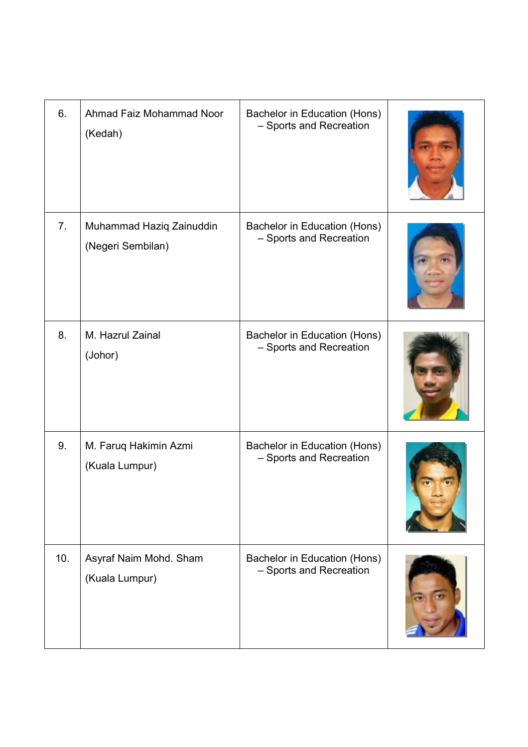| 6.             | Ahmad Faiz Mohammad Noor<br>(Kedah)           | Bachelor in Education (Hons)<br>- Sports and Recreation |  |
|----------------|-----------------------------------------------|---------------------------------------------------------|--|
| 7 <sub>1</sub> | Muhammad Haziq Zainuddin<br>(Negeri Sembilan) | Bachelor in Education (Hons)<br>- Sports and Recreation |  |
| 8.             | M. Hazrul Zainal<br>(Johor)                   | Bachelor in Education (Hons)<br>- Sports and Recreation |  |
| 9.             | M. Faruq Hakimin Azmi<br>(Kuala Lumpur)       | Bachelor in Education (Hons)<br>- Sports and Recreation |  |
| 10.            | Asyraf Naim Mohd. Sham<br>(Kuala Lumpur)      | Bachelor in Education (Hons)<br>- Sports and Recreation |  |